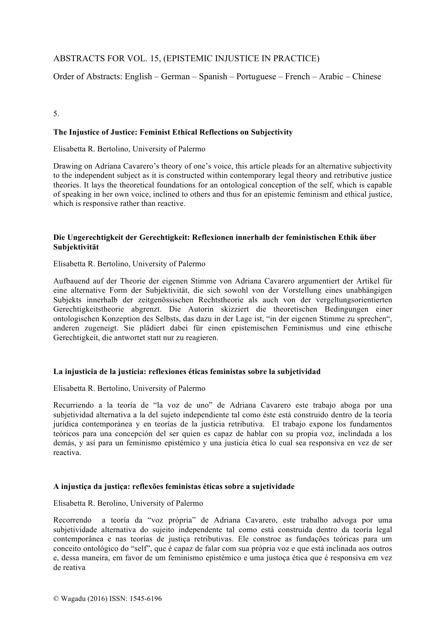# ABSTRACTS FOR VOL. 15, (EPISTEMIC INJUSTICE IN PRACTICE)

Order of Abstracts: English – German – Spanish – Portuguese – French – Arabic – Chinese

### 5.

# **The Injustice of Justice: Feminist Ethical Reflections on Subjectivity**

Elisabetta R. Bertolino, University of Palermo

Drawing on Adriana Cavarero's theory of one's voice, this article pleads for an alternative subjectivity to the independent subject as it is constructed within contemporary legal theory and retributive justice theories. It lays the theoretical foundations for an ontological conception of the self, which is capable of speaking in her own voice, inclined to others and thus for an epistemic feminism and ethical justice, which is responsive rather than reactive.

### **Die Ungerechtigkeit der Gerechtigkeit: Reflexionen innerhalb der feministischen Ethik über Subjektivität**

Elisabetta R. Bertolino, University of Palermo

Aufbauend auf der Theorie der eigenen Stimme von Adriana Cavarero argumentiert der Artikel für eine alternative Form der Subjektivität, die sich sowohl von der Vorstellung eines unabhängigen Subjekts innerhalb der zeitgenössischen Rechtstheorie als auch von der vergeltungsorientierten Gerechtigkeitstheorie abgrenzt. Die Autorin skizziert die theoretischen Bedingungen einer ontologischen Konzeption des Selbsts, das dazu in der Lage ist, "in der eigenen Stimme zu sprechen", anderen zugeneigt. Sie plädiert dabei für einen epistemischen Feminismus und eine ethische Gerechtigkeit, die antwortet statt nur zu reagieren.

#### **La injusticia de la justicia: reflexiones éticas feministas sobre la subjetividad**

Elisabetta R. Bertolino, University of Palermo

Recurriendo a la teoría de "la voz de uno" de Adriana Cavarero este trabajo aboga por una subjetividad alternativa a la del sujeto independiente tal como éste está construido dentro de la teoría jurídica contemporánea y en teorías de la justicia retributiva. El trabajo expone los fundamentos teóricos para una concepción del ser quien es capaz de hablar con su propia voz, inclindada a los demás, y así para un feminismo epistémico y una justicia ética lo cual sea responsiva en vez de ser reactiva.

#### **A injustiça da justiça: reflexões feministas éticas sobre a sujetividade**

Elisabetta R. Berolino, University of Palermo

Recorrendo a teoría da "voz própria" de Adriana Cavarero, este trabalho advoga por uma subjetividade alternativa do sujeito independente tal como está construida dentro da teoría legal contemporânea e nas teorías de justiça retributivas. Ele constroe as fundações teóricas para um conceito ontológico do "self", que é capaz de falar com sua própria voz e que está inclinada aos outros e, dessa maneira, em favor de um feminismo epistémico e uma justoça ética que é responsiva em vez de reativa